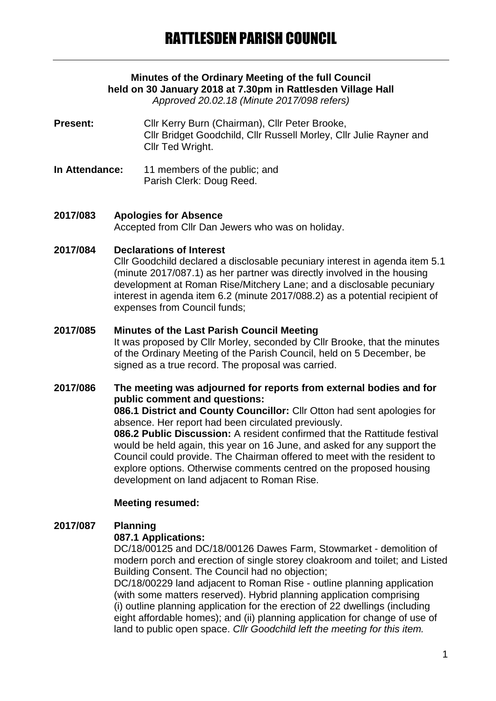# **Minutes of the Ordinary Meeting of the full Council held on 30 January 2018 at 7.30pm in Rattlesden Village Hall**

*Approved 20.02.18 (Minute 2017/098 refers)*

- Present: Cllr Kerry Burn (Chairman), Cllr Peter Brooke, Cllr Bridget Goodchild, Cllr Russell Morley, Cllr Julie Rayner and Cllr Ted Wright.
- **In Attendance:** 11 members of the public; and Parish Clerk: Doug Reed.
- **2017/083 Apologies for Absence** Accepted from Cllr Dan Jewers who was on holiday.

### **2017/084 Declarations of Interest**

Cllr Goodchild declared a disclosable pecuniary interest in agenda item 5.1 (minute 2017/087.1) as her partner was directly involved in the housing development at Roman Rise/Mitchery Lane; and a disclosable pecuniary interest in agenda item 6.2 (minute 2017/088.2) as a potential recipient of expenses from Council funds;

### **2017/085 Minutes of the Last Parish Council Meeting**

It was proposed by Cllr Morley, seconded by Cllr Brooke, that the minutes of the Ordinary Meeting of the Parish Council, held on 5 December, be signed as a true record. The proposal was carried.

### **2017/086 The meeting was adjourned for reports from external bodies and for public comment and questions:**

**086.1 District and County Councillor:** Cllr Otton had sent apologies for absence. Her report had been circulated previously.

**086.2 Public Discussion:** A resident confirmed that the Rattitude festival would be held again, this year on 16 June, and asked for any support the Council could provide. The Chairman offered to meet with the resident to explore options. Otherwise comments centred on the proposed housing development on land adjacent to Roman Rise.

### **Meeting resumed:**

## **2017/087 Planning**

### **087.1 Applications:**

DC/18/00125 and DC/18/00126 Dawes Farm, Stowmarket - demolition of modern porch and erection of single storey cloakroom and toilet; and Listed Building Consent. The Council had no objection;

DC/18/00229 land adjacent to Roman Rise - outline planning application (with some matters reserved). Hybrid planning application comprising (i) outline planning application for the erection of 22 dwellings (including eight affordable homes); and (ii) planning application for change of use of land to public open space. *Cllr Goodchild left the meeting for this item.*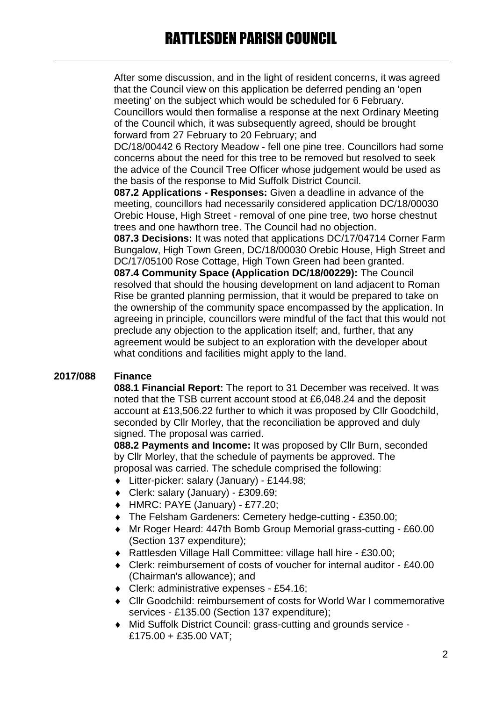After some discussion, and in the light of resident concerns, it was agreed that the Council view on this application be deferred pending an 'open meeting' on the subject which would be scheduled for 6 February. Councillors would then formalise a response at the next Ordinary Meeting of the Council which, it was subsequently agreed, should be brought forward from 27 February to 20 February; and

DC/18/00442 6 Rectory Meadow - fell one pine tree. Councillors had some concerns about the need for this tree to be removed but resolved to seek the advice of the Council Tree Officer whose judgement would be used as the basis of the response to Mid Suffolk District Council.

**087.2 Applications - Responses:** Given a deadline in advance of the meeting, councillors had necessarily considered application DC/18/00030 Orebic House, High Street - removal of one pine tree, two horse chestnut trees and one hawthorn tree. The Council had no objection.

**087.3 Decisions:** It was noted that applications DC/17/04714 Corner Farm Bungalow, High Town Green, DC/18/00030 Orebic House, High Street and DC/17/05100 Rose Cottage, High Town Green had been granted.

**087.4 Community Space (Application DC/18/00229):** The Council resolved that should the housing development on land adjacent to Roman Rise be granted planning permission, that it would be prepared to take on the ownership of the community space encompassed by the application. In agreeing in principle, councillors were mindful of the fact that this would not preclude any objection to the application itself; and, further, that any agreement would be subject to an exploration with the developer about what conditions and facilities might apply to the land.

## **2017/088 Finance**

**088.1 Financial Report:** The report to 31 December was received. It was noted that the TSB current account stood at £6,048.24 and the deposit account at £13,506.22 further to which it was proposed by Cllr Goodchild, seconded by Cllr Morley, that the reconciliation be approved and duly signed. The proposal was carried.

**088.2 Payments and Income:** It was proposed by Cllr Burn, seconded by Cllr Morley, that the schedule of payments be approved. The proposal was carried. The schedule comprised the following:

- Litter-picker: salary (January) £144.98;
- Clerk: salary (January) £309.69;
- HMRC: PAYE (January) £77.20;
- The Felsham Gardeners: Cemetery hedge-cutting £350.00;
- Mr Roger Heard: 447th Bomb Group Memorial grass-cutting £60.00 (Section 137 expenditure);
- Rattlesden Village Hall Committee: village hall hire £30.00;
- Clerk: reimbursement of costs of voucher for internal auditor £40.00 (Chairman's allowance); and
- ◆ Clerk: administrative expenses £54.16:
- Cllr Goodchild: reimbursement of costs for World War I commemorative services - £135.00 (Section 137 expenditure);
- Mid Suffolk District Council: grass-cutting and grounds service £175.00 + £35.00 VAT;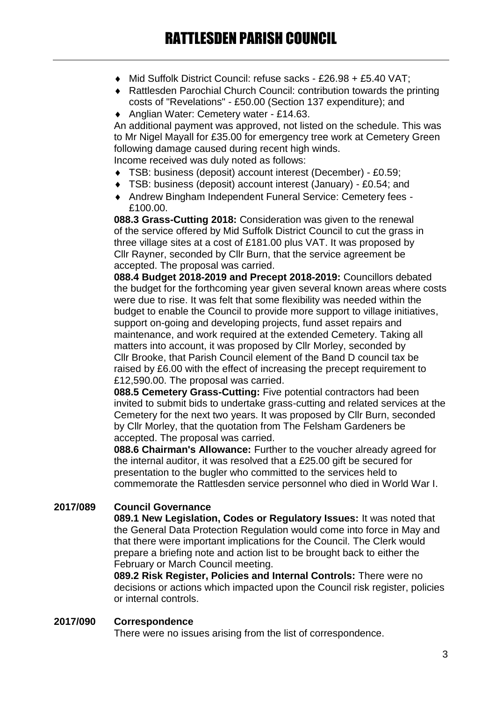- Mid Suffolk District Council: refuse sacks £26.98 + £5.40 VAT;
- Rattlesden Parochial Church Council: contribution towards the printing costs of "Revelations" - £50.00 (Section 137 expenditure); and
- ◆ Anglian Water: Cemetery water £14.63.

An additional payment was approved, not listed on the schedule. This was to Mr Nigel Mayall for £35.00 for emergency tree work at Cemetery Green following damage caused during recent high winds. Income received was duly noted as follows:

TSB: business (deposit) account interest (December) - £0.59;

- TSB: business (deposit) account interest (January) £0.54; and
- Andrew Bingham Independent Funeral Service: Cemetery fees £100.00

**088.3 Grass-Cutting 2018:** Consideration was given to the renewal of the service offered by Mid Suffolk District Council to cut the grass in three village sites at a cost of £181.00 plus VAT. It was proposed by Cllr Rayner, seconded by Cllr Burn, that the service agreement be accepted. The proposal was carried.

**088.4 Budget 2018-2019 and Precept 2018-2019:** Councillors debated the budget for the forthcoming year given several known areas where costs were due to rise. It was felt that some flexibility was needed within the budget to enable the Council to provide more support to village initiatives, support on-going and developing projects, fund asset repairs and maintenance, and work required at the extended Cemetery. Taking all matters into account, it was proposed by Cllr Morley, seconded by Cllr Brooke, that Parish Council element of the Band D council tax be raised by £6.00 with the effect of increasing the precept requirement to £12,590.00. The proposal was carried.

**088.5 Cemetery Grass-Cutting:** Five potential contractors had been invited to submit bids to undertake grass-cutting and related services at the Cemetery for the next two years. It was proposed by Cllr Burn, seconded by Cllr Morley, that the quotation from The Felsham Gardeners be accepted. The proposal was carried.

**088.6 Chairman's Allowance:** Further to the voucher already agreed for the internal auditor, it was resolved that a £25.00 gift be secured for presentation to the bugler who committed to the services held to commemorate the Rattlesden service personnel who died in World War I.

## **2017/089 Council Governance**

**089.1 New Legislation, Codes or Regulatory Issues:** It was noted that the General Data Protection Regulation would come into force in May and that there were important implications for the Council. The Clerk would prepare a briefing note and action list to be brought back to either the February or March Council meeting.

**089.2 Risk Register, Policies and Internal Controls:** There were no decisions or actions which impacted upon the Council risk register, policies or internal controls.

### **2017/090 Correspondence**

There were no issues arising from the list of correspondence.